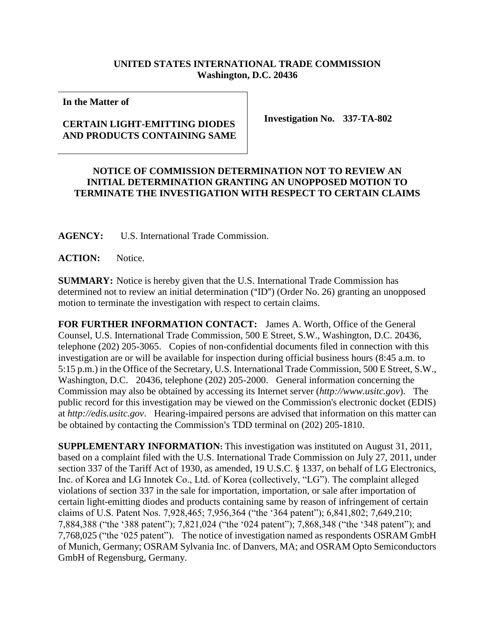## **UNITED STATES INTERNATIONAL TRADE COMMISSION Washington, D.C. 20436**

**In the Matter of**

## **CERTAIN LIGHT-EMITTING DIODES AND PRODUCTS CONTAINING SAME**

**Investigation No. 337-TA-802**

## **NOTICE OF COMMISSION DETERMINATION NOT TO REVIEW AN INITIAL DETERMINATION GRANTING AN UNOPPOSED MOTION TO TERMINATE THE INVESTIGATION WITH RESPECT TO CERTAIN CLAIMS**

**AGENCY:** U.S. International Trade Commission.

**ACTION:** Notice.

**SUMMARY:** Notice is hereby given that the U.S. International Trade Commission has determined not to review an initial determination ( $\text{m}$ ) (Order No. 26) granting an unopposed motion to terminate the investigation with respect to certain claims.

**FOR FURTHER INFORMATION CONTACT:** James A. Worth, Office of the General Counsel, U.S. International Trade Commission, 500 E Street, S.W., Washington, D.C. 20436, telephone (202) 205-3065. Copies of non-confidential documents filed in connection with this investigation are or will be available for inspection during official business hours (8:45 a.m. to 5:15 p.m.) in the Office of the Secretary, U.S. International Trade Commission, 500 E Street, S.W., Washington, D.C. 20436, telephone (202) 205-2000. General information concerning the Commission may also be obtained by accessing its Internet server (*http://www.usitc.gov*). The public record for this investigation may be viewed on the Commission's electronic docket (EDIS) at *http://edis.usitc.gov*. Hearing-impaired persons are advised that information on this matter can be obtained by contacting the Commission's TDD terminal on (202) 205-1810.

**SUPPLEMENTARY INFORMATION:** This investigation was instituted on August 31, 2011, based on a complaint filed with the U.S. International Trade Commission on July 27, 2011, under section 337 of the Tariff Act of 1930, as amended, 19 U.S.C. § 1337, on behalf of LG Electronics, Inc. of Korea and LG Innotek Co., Ltd. of Korea (collectively, "LG"). The complaint alleged violations of section 337 in the sale for importation, importation, or sale after importation of certain light-emitting diodes and products containing same by reason of infringement of certain claims of U.S. Patent Nos. 7,928,465; 7,956,364 ("the '364 patent"); 6,841,802; 7,649,210; 7,884,388 ("the '388 patent"); 7,821,024 ("the '024 patent"); 7,868,348 ("the '348 patent"); and 7,768,025 ("the '025 patent"). The notice of investigation named as respondents OSRAM GmbH of Munich, Germany; OSRAM Sylvania Inc. of Danvers, MA; and OSRAM Opto Semiconductors GmbH of Regensburg, Germany.